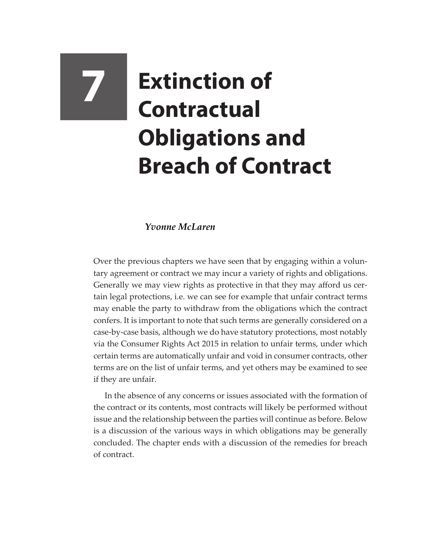# **7 Extinction of Contractual Obligations and Breach of Contract**

# *Yvonne McLaren*

Over the previous chapters we have seen that by engaging within a voluntary agreement or contract we may incur a variety of rights and obligations. Generally we may view rights as protective in that they may afford us certain legal protections, i.e. we can see for example that unfair contract terms may enable the party to withdraw from the obligations which the contract confers. It is important to note that such terms are generally considered on a case-by-case basis, although we do have statutory protections, most notably via the Consumer Rights Act 2015 in relation to unfair terms, under which certain terms are automatically unfair and void in consumer contracts, other terms are on the list of unfair terms, and yet others may be examined to see if they are unfair.

In the absence of any concerns or issues associated with the formation of the contract or its contents, most contracts will likely be performed without issue and the relationship between the parties will continue as before. Below is a discussion of the various ways in which obligations may be generally concluded. The chapter ends with a discussion of the remedies for breach of contract.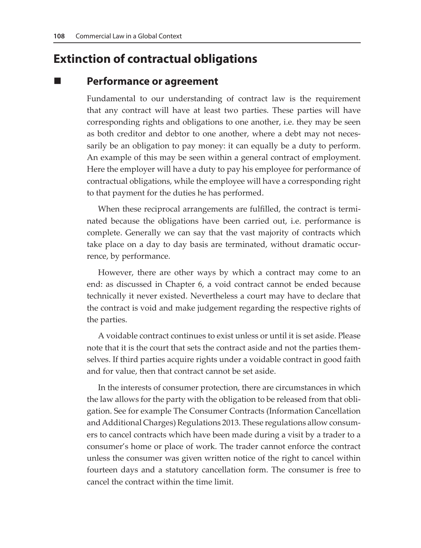# **Extinction of contractual obligations**

# **Performance or agreement**

Fundamental to our understanding of contract law is the requirement that any contract will have at least two parties. These parties will have corresponding rights and obligations to one another, i.e. they may be seen as both creditor and debtor to one another, where a debt may not necessarily be an obligation to pay money: it can equally be a duty to perform. An example of this may be seen within a general contract of employment. Here the employer will have a duty to pay his employee for performance of contractual obligations, while the employee will have a corresponding right to that payment for the duties he has performed.

When these reciprocal arrangements are fulfilled, the contract is terminated because the obligations have been carried out, i.e. performance is complete. Generally we can say that the vast majority of contracts which take place on a day to day basis are terminated, without dramatic occurrence, by performance.

However, there are other ways by which a contract may come to an end: as discussed in Chapter 6, a void contract cannot be ended because technically it never existed. Nevertheless a court may have to declare that the contract is void and make judgement regarding the respective rights of the parties.

A voidable contract continues to exist unless or until it is set aside. Please note that it is the court that sets the contract aside and not the parties themselves. If third parties acquire rights under a voidable contract in good faith and for value, then that contract cannot be set aside.

In the interests of consumer protection, there are circumstances in which the law allows for the party with the obligation to be released from that obligation. See for example The Consumer Contracts (Information Cancellation and Additional Charges) Regulations 2013. These regulations allow consumers to cancel contracts which have been made during a visit by a trader to a consumer's home or place of work. The trader cannot enforce the contract unless the consumer was given written notice of the right to cancel within fourteen days and a statutory cancellation form. The consumer is free to cancel the contract within the time limit.